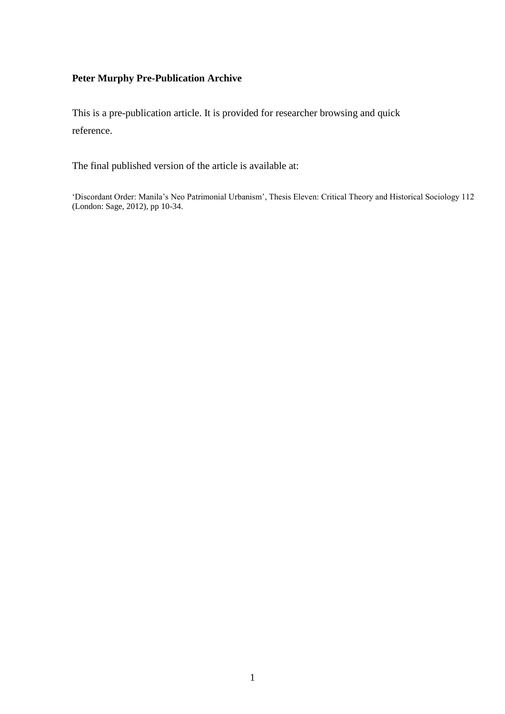# **Peter Murphy Pre-Publication Archive**

This is a pre-publication article. It is provided for researcher browsing and quick reference.

The final published version of the article is available at:

'Discordant Order: Manila's Neo Patrimonial Urbanism', Thesis Eleven: Critical Theory and Historical Sociology 112 (London: Sage, 2012), pp 10-34.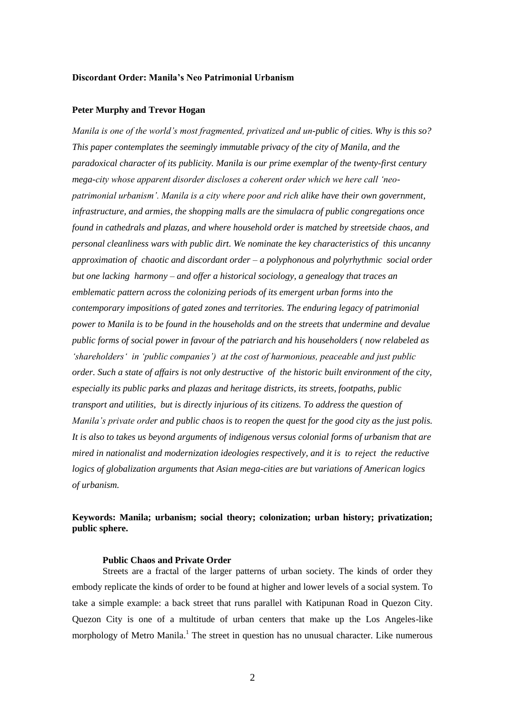## **Discordant Order: Manila's Neo Patrimonial Urbanism**

# **Peter Murphy and Trevor Hogan**

*Manila is one of the world's most fragmented, privatized and un-public of cities. Why is this so? This paper contemplates the seemingly immutable privacy of the city of Manila, and the paradoxical character of its publicity. Manila is our prime exemplar of the twenty-first century mega-city whose apparent disorder discloses a coherent order which we here call 'neopatrimonial urbanism'. Manila is a city where poor and rich alike have their own government, infrastructure, and armies, the shopping malls are the simulacra of public congregations once found in cathedrals and plazas, and where household order is matched by streetside chaos, and personal cleanliness wars with public dirt. We nominate the key characteristics of this uncanny approximation of chaotic and discordant order – a polyphonous and polyrhythmic social order but one lacking harmony – and offer a historical sociology, a genealogy that traces an emblematic pattern across the colonizing periods of its emergent urban forms into the contemporary impositions of gated zones and territories. The enduring legacy of patrimonial power to Manila is to be found in the households and on the streets that undermine and devalue public forms of social power in favour of the patriarch and his householders ( now relabeled as 'shareholders' in 'public companies') at the cost of harmonious, peaceable and just public order. Such a state of affairs is not only destructive of the historic built environment of the city, especially its public parks and plazas and heritage districts, its streets, footpaths, public transport and utilities, but is directly injurious of its citizens. To address the question of Manila's private order and public chaos is to reopen the quest for the good city as the just polis. It is also to takes us beyond arguments of indigenous versus colonial forms of urbanism that are mired in nationalist and modernization ideologies respectively, and it is to reject the reductive logics of globalization arguments that Asian mega-cities are but variations of American logics of urbanism.*

# **Keywords: Manila; urbanism; social theory; colonization; urban history; privatization; public sphere.**

#### **Public Chaos and Private Order**

Streets are a fractal of the larger patterns of urban society. The kinds of order they embody replicate the kinds of order to be found at higher and lower levels of a social system. To take a simple example: a back street that runs parallel with Katipunan Road in Quezon City. Quezon City is one of a multitude of urban centers that make up the Los Angeles-like morphology of Metro Manila.<sup>1</sup> The street in question has no unusual character. Like numerous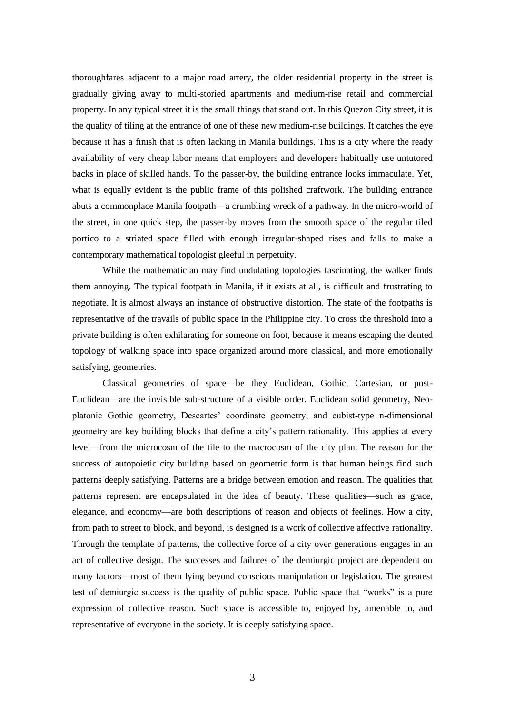thoroughfares adjacent to a major road artery, the older residential property in the street is gradually giving away to multi-storied apartments and medium-rise retail and commercial property. In any typical street it is the small things that stand out. In this Quezon City street, it is the quality of tiling at the entrance of one of these new medium-rise buildings. It catches the eye because it has a finish that is often lacking in Manila buildings. This is a city where the ready availability of very cheap labor means that employers and developers habitually use untutored backs in place of skilled hands. To the passer-by, the building entrance looks immaculate. Yet, what is equally evident is the public frame of this polished craftwork. The building entrance abuts a commonplace Manila footpath—a crumbling wreck of a pathway. In the micro-world of the street, in one quick step, the passer-by moves from the smooth space of the regular tiled portico to a striated space filled with enough irregular-shaped rises and falls to make a contemporary mathematical topologist gleeful in perpetuity.

While the mathematician may find undulating topologies fascinating, the walker finds them annoying. The typical footpath in Manila, if it exists at all, is difficult and frustrating to negotiate. It is almost always an instance of obstructive distortion. The state of the footpaths is representative of the travails of public space in the Philippine city. To cross the threshold into a private building is often exhilarating for someone on foot, because it means escaping the dented topology of walking space into space organized around more classical, and more emotionally satisfying, geometries.

Classical geometries of space—be they Euclidean, Gothic, Cartesian, or post-Euclidean—are the invisible sub-structure of a visible order. Euclidean solid geometry, Neoplatonic Gothic geometry, Descartes' coordinate geometry, and cubist-type n-dimensional geometry are key building blocks that define a city's pattern rationality. This applies at every level—from the microcosm of the tile to the macrocosm of the city plan. The reason for the success of autopoietic city building based on geometric form is that human beings find such patterns deeply satisfying. Patterns are a bridge between emotion and reason. The qualities that patterns represent are encapsulated in the idea of beauty. These qualities—such as grace, elegance, and economy—are both descriptions of reason and objects of feelings. How a city, from path to street to block, and beyond, is designed is a work of collective affective rationality. Through the template of patterns, the collective force of a city over generations engages in an act of collective design. The successes and failures of the demiurgic project are dependent on many factors—most of them lying beyond conscious manipulation or legislation. The greatest test of demiurgic success is the quality of public space. Public space that "works" is a pure expression of collective reason. Such space is accessible to, enjoyed by, amenable to, and representative of everyone in the society. It is deeply satisfying space.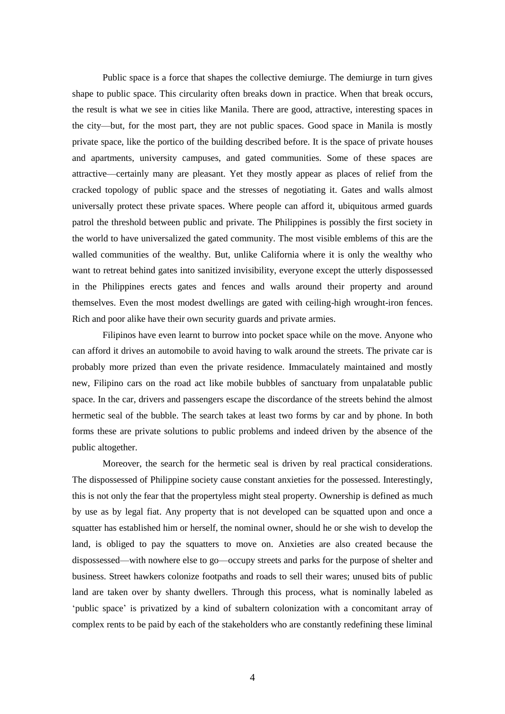Public space is a force that shapes the collective demiurge. The demiurge in turn gives shape to public space. This circularity often breaks down in practice. When that break occurs, the result is what we see in cities like Manila. There are good, attractive, interesting spaces in the city—but, for the most part, they are not public spaces. Good space in Manila is mostly private space, like the portico of the building described before. It is the space of private houses and apartments, university campuses, and gated communities. Some of these spaces are attractive—certainly many are pleasant. Yet they mostly appear as places of relief from the cracked topology of public space and the stresses of negotiating it. Gates and walls almost universally protect these private spaces. Where people can afford it, ubiquitous armed guards patrol the threshold between public and private. The Philippines is possibly the first society in the world to have universalized the gated community. The most visible emblems of this are the walled communities of the wealthy. But, unlike California where it is only the wealthy who want to retreat behind gates into sanitized invisibility, everyone except the utterly dispossessed in the Philippines erects gates and fences and walls around their property and around themselves. Even the most modest dwellings are gated with ceiling-high wrought-iron fences. Rich and poor alike have their own security guards and private armies.

Filipinos have even learnt to burrow into pocket space while on the move. Anyone who can afford it drives an automobile to avoid having to walk around the streets. The private car is probably more prized than even the private residence. Immaculately maintained and mostly new, Filipino cars on the road act like mobile bubbles of sanctuary from unpalatable public space. In the car, drivers and passengers escape the discordance of the streets behind the almost hermetic seal of the bubble. The search takes at least two forms by car and by phone. In both forms these are private solutions to public problems and indeed driven by the absence of the public altogether.

Moreover, the search for the hermetic seal is driven by real practical considerations. The dispossessed of Philippine society cause constant anxieties for the possessed. Interestingly, this is not only the fear that the propertyless might steal property. Ownership is defined as much by use as by legal fiat. Any property that is not developed can be squatted upon and once a squatter has established him or herself, the nominal owner, should he or she wish to develop the land, is obliged to pay the squatters to move on. Anxieties are also created because the dispossessed—with nowhere else to go—occupy streets and parks for the purpose of shelter and business. Street hawkers colonize footpaths and roads to sell their wares; unused bits of public land are taken over by shanty dwellers. Through this process, what is nominally labeled as 'public space' is privatized by a kind of subaltern colonization with a concomitant array of complex rents to be paid by each of the stakeholders who are constantly redefining these liminal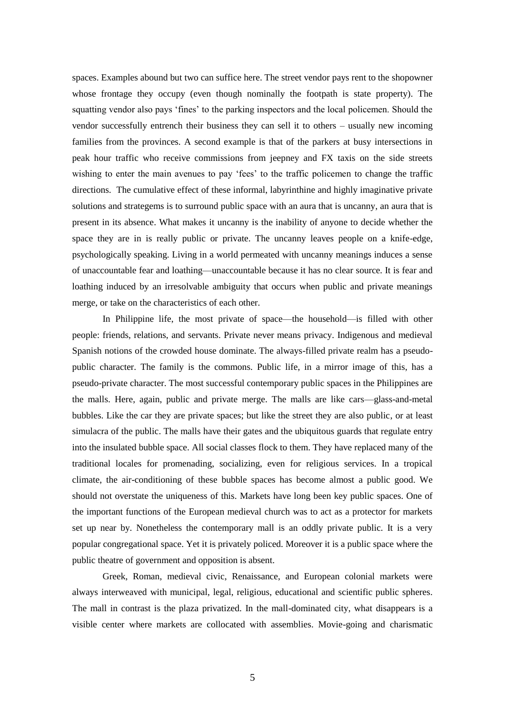spaces. Examples abound but two can suffice here. The street vendor pays rent to the shopowner whose frontage they occupy (even though nominally the footpath is state property). The squatting vendor also pays 'fines' to the parking inspectors and the local policemen. Should the vendor successfully entrench their business they can sell it to others – usually new incoming families from the provinces. A second example is that of the parkers at busy intersections in peak hour traffic who receive commissions from jeepney and FX taxis on the side streets wishing to enter the main avenues to pay 'fees' to the traffic policemen to change the traffic directions. The cumulative effect of these informal, labyrinthine and highly imaginative private solutions and strategems is to surround public space with an aura that is uncanny, an aura that is present in its absence. What makes it uncanny is the inability of anyone to decide whether the space they are in is really public or private. The uncanny leaves people on a knife-edge, psychologically speaking. Living in a world permeated with uncanny meanings induces a sense of unaccountable fear and loathing—unaccountable because it has no clear source. It is fear and loathing induced by an irresolvable ambiguity that occurs when public and private meanings merge, or take on the characteristics of each other.

In Philippine life, the most private of space—the household—is filled with other people: friends, relations, and servants. Private never means privacy. Indigenous and medieval Spanish notions of the crowded house dominate. The always-filled private realm has a pseudopublic character. The family is the commons. Public life, in a mirror image of this, has a pseudo-private character. The most successful contemporary public spaces in the Philippines are the malls. Here, again, public and private merge. The malls are like cars—glass-and-metal bubbles. Like the car they are private spaces; but like the street they are also public, or at least simulacra of the public. The malls have their gates and the ubiquitous guards that regulate entry into the insulated bubble space. All social classes flock to them. They have replaced many of the traditional locales for promenading, socializing, even for religious services. In a tropical climate, the air-conditioning of these bubble spaces has become almost a public good. We should not overstate the uniqueness of this. Markets have long been key public spaces. One of the important functions of the European medieval church was to act as a protector for markets set up near by. Nonetheless the contemporary mall is an oddly private public. It is a very popular congregational space. Yet it is privately policed. Moreover it is a public space where the public theatre of government and opposition is absent.

Greek, Roman, medieval civic, Renaissance, and European colonial markets were always interweaved with municipal, legal, religious, educational and scientific public spheres. The mall in contrast is the plaza privatized. In the mall-dominated city, what disappears is a visible center where markets are collocated with assemblies. Movie-going and charismatic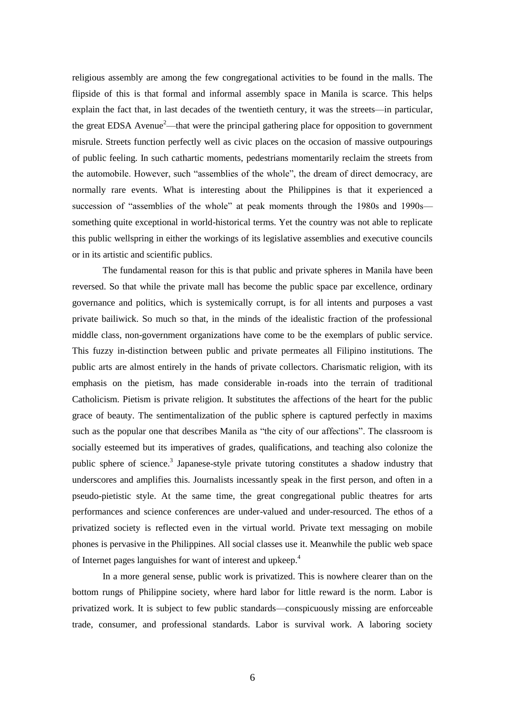religious assembly are among the few congregational activities to be found in the malls. The flipside of this is that formal and informal assembly space in Manila is scarce. This helps explain the fact that, in last decades of the twentieth century, it was the streets—in particular, the great EDSA Avenue<sup>2</sup>—that were the principal gathering place for opposition to government misrule. Streets function perfectly well as civic places on the occasion of massive outpourings of public feeling. In such cathartic moments, pedestrians momentarily reclaim the streets from the automobile. However, such "assemblies of the whole", the dream of direct democracy, are normally rare events. What is interesting about the Philippines is that it experienced a succession of "assemblies of the whole" at peak moments through the 1980s and 1990s something quite exceptional in world-historical terms. Yet the country was not able to replicate this public wellspring in either the workings of its legislative assemblies and executive councils or in its artistic and scientific publics.

The fundamental reason for this is that public and private spheres in Manila have been reversed. So that while the private mall has become the public space par excellence, ordinary governance and politics, which is systemically corrupt, is for all intents and purposes a vast private bailiwick. So much so that, in the minds of the idealistic fraction of the professional middle class, non-government organizations have come to be the exemplars of public service. This fuzzy in-distinction between public and private permeates all Filipino institutions. The public arts are almost entirely in the hands of private collectors. Charismatic religion, with its emphasis on the pietism, has made considerable in-roads into the terrain of traditional Catholicism. Pietism is private religion. It substitutes the affections of the heart for the public grace of beauty. The sentimentalization of the public sphere is captured perfectly in maxims such as the popular one that describes Manila as "the city of our affections". The classroom is socially esteemed but its imperatives of grades, qualifications, and teaching also colonize the public sphere of science.<sup>3</sup> Japanese-style private tutoring constitutes a shadow industry that underscores and amplifies this. Journalists incessantly speak in the first person, and often in a pseudo-pietistic style. At the same time, the great congregational public theatres for arts performances and science conferences are under-valued and under-resourced. The ethos of a privatized society is reflected even in the virtual world. Private text messaging on mobile phones is pervasive in the Philippines. All social classes use it. Meanwhile the public web space of Internet pages languishes for want of interest and upkeep.<sup>4</sup>

In a more general sense, public work is privatized. This is nowhere clearer than on the bottom rungs of Philippine society, where hard labor for little reward is the norm. Labor is privatized work. It is subject to few public standards—conspicuously missing are enforceable trade, consumer, and professional standards. Labor is survival work. A laboring society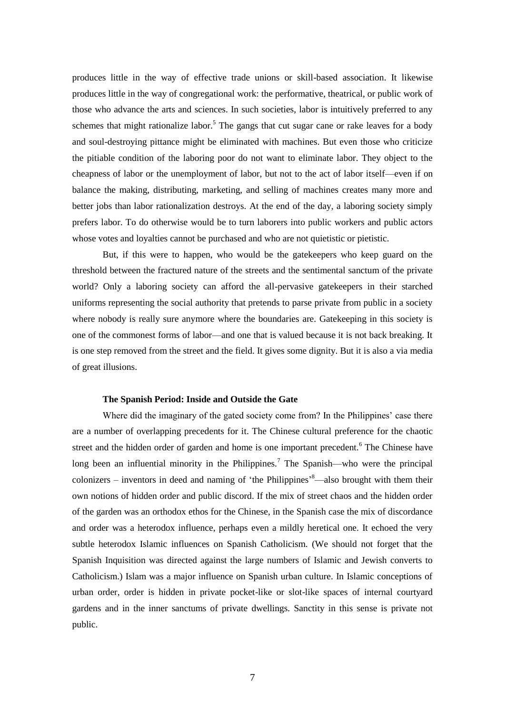produces little in the way of effective trade unions or skill-based association. It likewise produces little in the way of congregational work: the performative, theatrical, or public work of those who advance the arts and sciences. In such societies, labor is intuitively preferred to any schemes that might rationalize labor.<sup>5</sup> The gangs that cut sugar cane or rake leaves for a body and soul-destroying pittance might be eliminated with machines. But even those who criticize the pitiable condition of the laboring poor do not want to eliminate labor. They object to the cheapness of labor or the unemployment of labor, but not to the act of labor itself—even if on balance the making, distributing, marketing, and selling of machines creates many more and better jobs than labor rationalization destroys. At the end of the day, a laboring society simply prefers labor. To do otherwise would be to turn laborers into public workers and public actors whose votes and loyalties cannot be purchased and who are not quietistic or pietistic.

But, if this were to happen, who would be the gatekeepers who keep guard on the threshold between the fractured nature of the streets and the sentimental sanctum of the private world? Only a laboring society can afford the all-pervasive gatekeepers in their starched uniforms representing the social authority that pretends to parse private from public in a society where nobody is really sure anymore where the boundaries are. Gatekeeping in this society is one of the commonest forms of labor—and one that is valued because it is not back breaking. It is one step removed from the street and the field. It gives some dignity. But it is also a via media of great illusions.

#### **The Spanish Period: Inside and Outside the Gate**

Where did the imaginary of the gated society come from? In the Philippines' case there are a number of overlapping precedents for it. The Chinese cultural preference for the chaotic street and the hidden order of garden and home is one important precedent.<sup>6</sup> The Chinese have long been an influential minority in the Philippines.<sup>7</sup> The Spanish—who were the principal colonizers – inventors in deed and naming of 'the Philippines' $8$ —also brought with them their own notions of hidden order and public discord. If the mix of street chaos and the hidden order of the garden was an orthodox ethos for the Chinese, in the Spanish case the mix of discordance and order was a heterodox influence, perhaps even a mildly heretical one. It echoed the very subtle heterodox Islamic influences on Spanish Catholicism. (We should not forget that the Spanish Inquisition was directed against the large numbers of Islamic and Jewish converts to Catholicism.) Islam was a major influence on Spanish urban culture. In Islamic conceptions of urban order, order is hidden in private pocket-like or slot-like spaces of internal courtyard gardens and in the inner sanctums of private dwellings. Sanctity in this sense is private not public.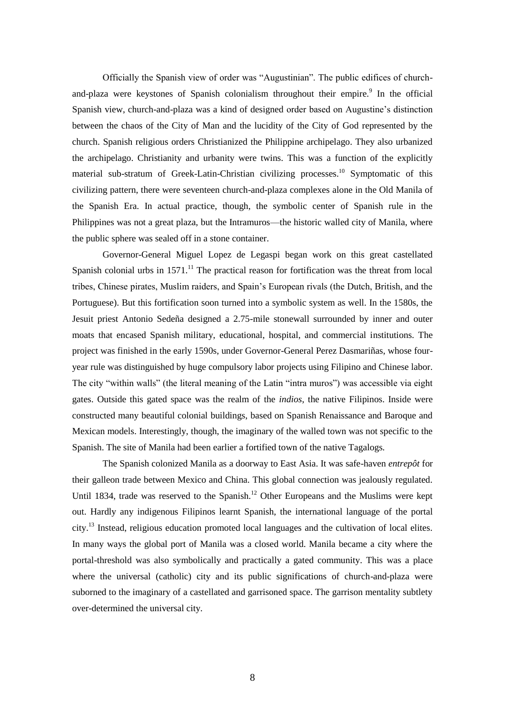Officially the Spanish view of order was "Augustinian". The public edifices of churchand-plaza were keystones of Spanish colonialism throughout their empire.<sup>9</sup> In the official Spanish view, church-and-plaza was a kind of designed order based on Augustine's distinction between the chaos of the City of Man and the lucidity of the City of God represented by the church. Spanish religious orders Christianized the Philippine archipelago. They also urbanized the archipelago. Christianity and urbanity were twins. This was a function of the explicitly material sub-stratum of Greek-Latin-Christian civilizing processes.<sup>10</sup> Symptomatic of this civilizing pattern, there were seventeen church-and-plaza complexes alone in the Old Manila of the Spanish Era. In actual practice, though, the symbolic center of Spanish rule in the Philippines was not a great plaza, but the Intramuros—the historic walled city of Manila, where the public sphere was sealed off in a stone container.

Governor-General Miguel Lopez de Legaspi began work on this great castellated Spanish colonial urbs in  $1571$ .<sup>11</sup> The practical reason for fortification was the threat from local tribes, Chinese pirates, Muslim raiders, and Spain's European rivals (the Dutch, British, and the Portuguese). But this fortification soon turned into a symbolic system as well. In the 1580s, the Jesuit priest Antonio Sedeña designed a 2.75-mile stonewall surrounded by inner and outer moats that encased Spanish military, educational, hospital, and commercial institutions. The project was finished in the early 1590s, under Governor-General Perez Dasmariñas, whose fouryear rule was distinguished by huge compulsory labor projects using Filipino and Chinese labor. The city "within walls" (the literal meaning of the Latin "intra muros") was accessible via eight gates. Outside this gated space was the realm of the *indios*, the native Filipinos. Inside were constructed many beautiful colonial buildings, based on Spanish Renaissance and Baroque and Mexican models. Interestingly, though, the imaginary of the walled town was not specific to the Spanish. The site of Manila had been earlier a fortified town of the native Tagalogs.

The Spanish colonized Manila as a doorway to East Asia. It was safe-haven *entrepôt* for their galleon trade between Mexico and China. This global connection was jealously regulated. Until 1834, trade was reserved to the Spanish.<sup>12</sup> Other Europeans and the Muslims were kept out. Hardly any indigenous Filipinos learnt Spanish, the international language of the portal city.<sup>13</sup> Instead, religious education promoted local languages and the cultivation of local elites. In many ways the global port of Manila was a closed world. Manila became a city where the portal-threshold was also symbolically and practically a gated community. This was a place where the universal (catholic) city and its public significations of church-and-plaza were suborned to the imaginary of a castellated and garrisoned space. The garrison mentality subtlety over-determined the universal city.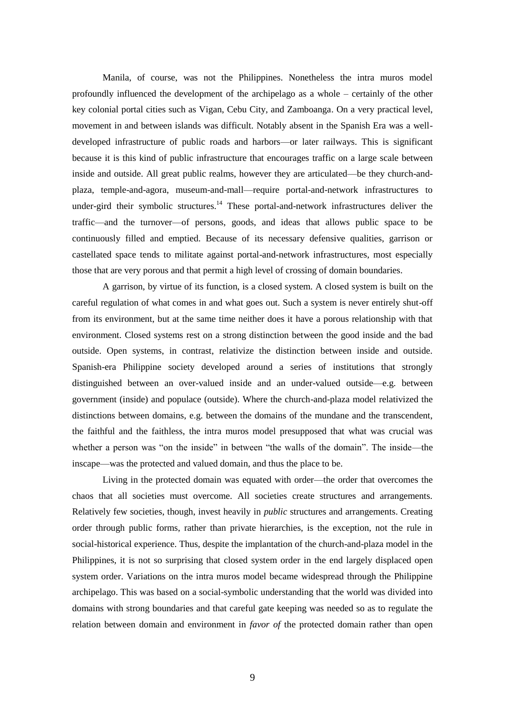Manila, of course, was not the Philippines. Nonetheless the intra muros model profoundly influenced the development of the archipelago as a whole – certainly of the other key colonial portal cities such as Vigan, Cebu City, and Zamboanga. On a very practical level, movement in and between islands was difficult. Notably absent in the Spanish Era was a welldeveloped infrastructure of public roads and harbors—or later railways. This is significant because it is this kind of public infrastructure that encourages traffic on a large scale between inside and outside. All great public realms, however they are articulated—be they church-andplaza, temple-and-agora, museum-and-mall—require portal-and-network infrastructures to under-gird their symbolic structures.<sup>14</sup> These portal-and-network infrastructures deliver the traffic—and the turnover—of persons, goods, and ideas that allows public space to be continuously filled and emptied. Because of its necessary defensive qualities, garrison or castellated space tends to militate against portal-and-network infrastructures, most especially those that are very porous and that permit a high level of crossing of domain boundaries.

A garrison, by virtue of its function, is a closed system. A closed system is built on the careful regulation of what comes in and what goes out. Such a system is never entirely shut-off from its environment, but at the same time neither does it have a porous relationship with that environment. Closed systems rest on a strong distinction between the good inside and the bad outside. Open systems, in contrast, relativize the distinction between inside and outside. Spanish-era Philippine society developed around a series of institutions that strongly distinguished between an over-valued inside and an under-valued outside—e.g. between government (inside) and populace (outside). Where the church-and-plaza model relativized the distinctions between domains, e.g. between the domains of the mundane and the transcendent, the faithful and the faithless, the intra muros model presupposed that what was crucial was whether a person was "on the inside" in between "the walls of the domain". The inside—the inscape—was the protected and valued domain, and thus the place to be.

Living in the protected domain was equated with order—the order that overcomes the chaos that all societies must overcome. All societies create structures and arrangements. Relatively few societies, though, invest heavily in *public* structures and arrangements. Creating order through public forms, rather than private hierarchies, is the exception, not the rule in social-historical experience. Thus, despite the implantation of the church-and-plaza model in the Philippines, it is not so surprising that closed system order in the end largely displaced open system order. Variations on the intra muros model became widespread through the Philippine archipelago. This was based on a social-symbolic understanding that the world was divided into domains with strong boundaries and that careful gate keeping was needed so as to regulate the relation between domain and environment in *favor of* the protected domain rather than open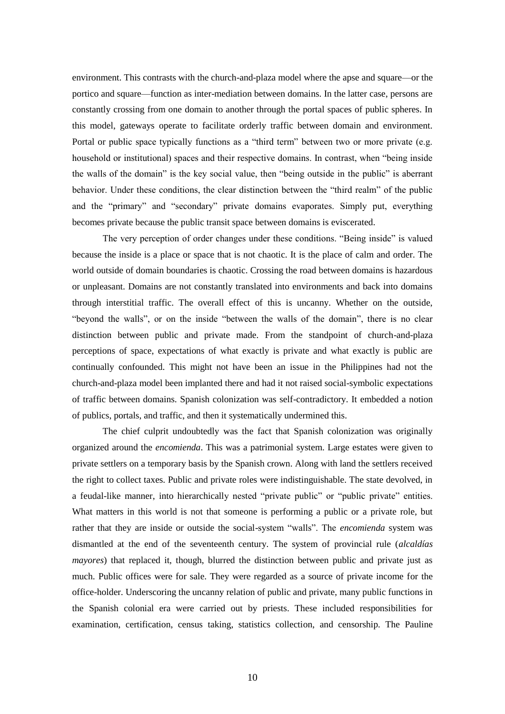environment. This contrasts with the church-and-plaza model where the apse and square—or the portico and square—function as inter-mediation between domains. In the latter case, persons are constantly crossing from one domain to another through the portal spaces of public spheres. In this model, gateways operate to facilitate orderly traffic between domain and environment. Portal or public space typically functions as a "third term" between two or more private (e.g. household or institutional) spaces and their respective domains. In contrast, when "being inside the walls of the domain" is the key social value, then "being outside in the public" is aberrant behavior. Under these conditions, the clear distinction between the "third realm" of the public and the "primary" and "secondary" private domains evaporates. Simply put, everything becomes private because the public transit space between domains is eviscerated.

The very perception of order changes under these conditions. "Being inside" is valued because the inside is a place or space that is not chaotic. It is the place of calm and order. The world outside of domain boundaries is chaotic. Crossing the road between domains is hazardous or unpleasant. Domains are not constantly translated into environments and back into domains through interstitial traffic. The overall effect of this is uncanny. Whether on the outside, "beyond the walls", or on the inside "between the walls of the domain", there is no clear distinction between public and private made. From the standpoint of church-and-plaza perceptions of space, expectations of what exactly is private and what exactly is public are continually confounded. This might not have been an issue in the Philippines had not the church-and-plaza model been implanted there and had it not raised social-symbolic expectations of traffic between domains. Spanish colonization was self-contradictory. It embedded a notion of publics, portals, and traffic, and then it systematically undermined this.

The chief culprit undoubtedly was the fact that Spanish colonization was originally organized around the *encomienda*. This was a patrimonial system. Large estates were given to private settlers on a temporary basis by the Spanish crown. Along with land the settlers received the right to collect taxes. Public and private roles were indistinguishable. The state devolved, in a feudal-like manner, into hierarchically nested "private public" or "public private" entities. What matters in this world is not that someone is performing a public or a private role, but rather that they are inside or outside the social-system "walls". The *encomienda* system was dismantled at the end of the seventeenth century. The system of provincial rule (*alcaldías mayores*) that replaced it, though, blurred the distinction between public and private just as much. Public offices were for sale. They were regarded as a source of private income for the office-holder. Underscoring the uncanny relation of public and private, many public functions in the Spanish colonial era were carried out by priests. These included responsibilities for examination, certification, census taking, statistics collection, and censorship. The Pauline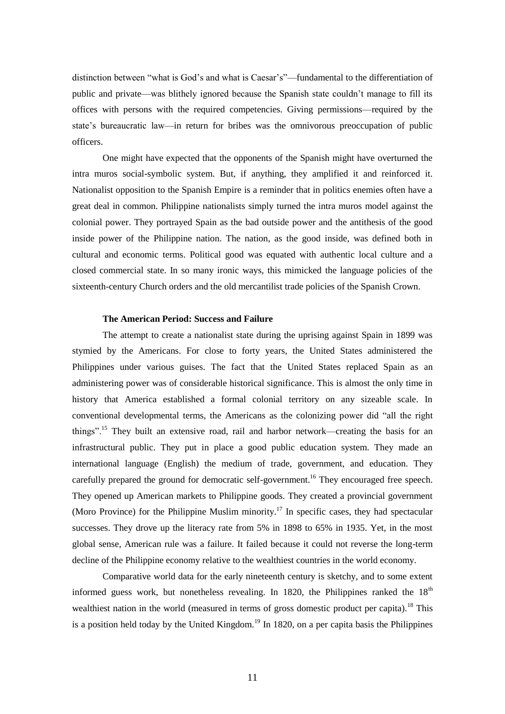distinction between "what is God's and what is Caesar's"—fundamental to the differentiation of public and private—was blithely ignored because the Spanish state couldn't manage to fill its offices with persons with the required competencies. Giving permissions—required by the state's bureaucratic law—in return for bribes was the omnivorous preoccupation of public officers.

One might have expected that the opponents of the Spanish might have overturned the intra muros social-symbolic system. But, if anything, they amplified it and reinforced it. Nationalist opposition to the Spanish Empire is a reminder that in politics enemies often have a great deal in common. Philippine nationalists simply turned the intra muros model against the colonial power. They portrayed Spain as the bad outside power and the antithesis of the good inside power of the Philippine nation. The nation, as the good inside, was defined both in cultural and economic terms. Political good was equated with authentic local culture and a closed commercial state. In so many ironic ways, this mimicked the language policies of the sixteenth-century Church orders and the old mercantilist trade policies of the Spanish Crown.

# **The American Period: Success and Failure**

The attempt to create a nationalist state during the uprising against Spain in 1899 was stymied by the Americans. For close to forty years, the United States administered the Philippines under various guises. The fact that the United States replaced Spain as an administering power was of considerable historical significance. This is almost the only time in history that America established a formal colonial territory on any sizeable scale. In conventional developmental terms, the Americans as the colonizing power did "all the right things".<sup>15</sup> They built an extensive road, rail and harbor network—creating the basis for an infrastructural public. They put in place a good public education system. They made an international language (English) the medium of trade, government, and education. They carefully prepared the ground for democratic self-government.<sup>16</sup> They encouraged free speech. They opened up American markets to Philippine goods. They created a provincial government (Moro Province) for the Philippine Muslim minority.<sup>17</sup> In specific cases, they had spectacular successes. They drove up the literacy rate from 5% in 1898 to 65% in 1935. Yet, in the most global sense, American rule was a failure. It failed because it could not reverse the long-term decline of the Philippine economy relative to the wealthiest countries in the world economy.

Comparative world data for the early nineteenth century is sketchy, and to some extent informed guess work, but nonetheless revealing. In 1820, the Philippines ranked the  $18<sup>th</sup>$ wealthiest nation in the world (measured in terms of gross domestic product per capita).<sup>18</sup> This is a position held today by the United Kingdom.<sup>19</sup> In 1820, on a per capita basis the Philippines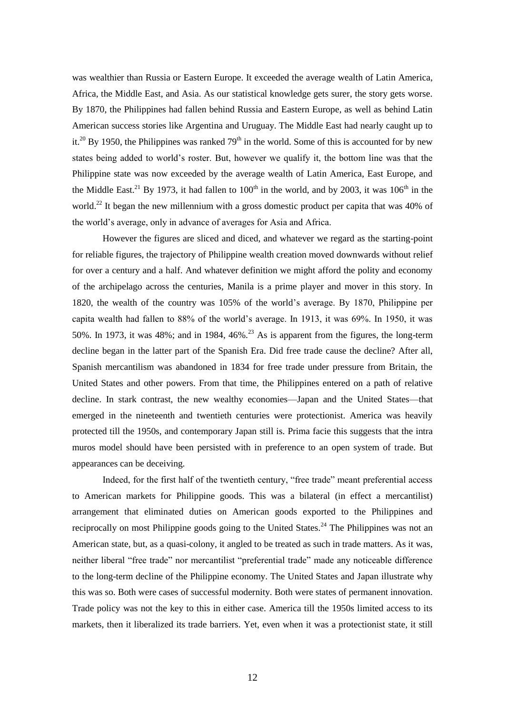was wealthier than Russia or Eastern Europe. It exceeded the average wealth of Latin America, Africa, the Middle East, and Asia. As our statistical knowledge gets surer, the story gets worse. By 1870, the Philippines had fallen behind Russia and Eastern Europe, as well as behind Latin American success stories like Argentina and Uruguay. The Middle East had nearly caught up to it.<sup>20</sup> By 1950, the Philippines was ranked  $79<sup>th</sup>$  in the world. Some of this is accounted for by new states being added to world's roster. But, however we qualify it, the bottom line was that the Philippine state was now exceeded by the average wealth of Latin America, East Europe, and the Middle East.<sup>21</sup> By 1973, it had fallen to  $100<sup>th</sup>$  in the world, and by 2003, it was  $106<sup>th</sup>$  in the world.<sup>22</sup> It began the new millennium with a gross domestic product per capita that was 40% of the world's average, only in advance of averages for Asia and Africa.

However the figures are sliced and diced, and whatever we regard as the starting-point for reliable figures, the trajectory of Philippine wealth creation moved downwards without relief for over a century and a half. And whatever definition we might afford the polity and economy of the archipelago across the centuries, Manila is a prime player and mover in this story. In 1820, the wealth of the country was 105% of the world's average. By 1870, Philippine per capita wealth had fallen to 88% of the world's average. In 1913, it was 69%. In 1950, it was 50%. In 1973, it was 48%; and in 1984, 46% $^{23}$  As is apparent from the figures, the long-term decline began in the latter part of the Spanish Era. Did free trade cause the decline? After all, Spanish mercantilism was abandoned in 1834 for free trade under pressure from Britain, the United States and other powers. From that time, the Philippines entered on a path of relative decline. In stark contrast, the new wealthy economies—Japan and the United States—that emerged in the nineteenth and twentieth centuries were protectionist. America was heavily protected till the 1950s, and contemporary Japan still is. Prima facie this suggests that the intra muros model should have been persisted with in preference to an open system of trade. But appearances can be deceiving.

Indeed, for the first half of the twentieth century, "free trade" meant preferential access to American markets for Philippine goods. This was a bilateral (in effect a mercantilist) arrangement that eliminated duties on American goods exported to the Philippines and reciprocally on most Philippine goods going to the United States.<sup>24</sup> The Philippines was not an American state, but, as a quasi-colony, it angled to be treated as such in trade matters. As it was, neither liberal "free trade" nor mercantilist "preferential trade" made any noticeable difference to the long-term decline of the Philippine economy. The United States and Japan illustrate why this was so. Both were cases of successful modernity. Both were states of permanent innovation. Trade policy was not the key to this in either case. America till the 1950s limited access to its markets, then it liberalized its trade barriers. Yet, even when it was a protectionist state, it still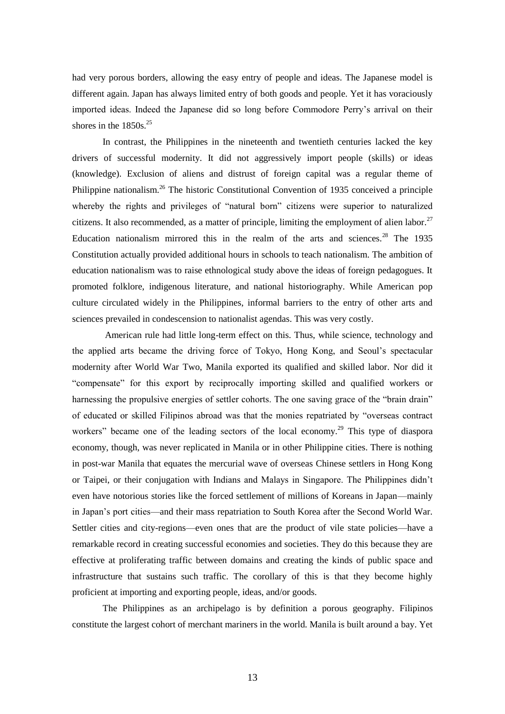had very porous borders, allowing the easy entry of people and ideas. The Japanese model is different again. Japan has always limited entry of both goods and people. Yet it has voraciously imported ideas. Indeed the Japanese did so long before Commodore Perry's arrival on their shores in the  $1850s.<sup>25</sup>$ 

In contrast, the Philippines in the nineteenth and twentieth centuries lacked the key drivers of successful modernity. It did not aggressively import people (skills) or ideas (knowledge). Exclusion of aliens and distrust of foreign capital was a regular theme of Philippine nationalism.<sup>26</sup> The historic Constitutional Convention of 1935 conceived a principle whereby the rights and privileges of "natural born" citizens were superior to naturalized citizens. It also recommended, as a matter of principle, limiting the employment of alien labor.<sup>27</sup> Education nationalism mirrored this in the realm of the arts and sciences.<sup>28</sup> The 1935 Constitution actually provided additional hours in schools to teach nationalism. The ambition of education nationalism was to raise ethnological study above the ideas of foreign pedagogues. It promoted folklore, indigenous literature, and national historiography. While American pop culture circulated widely in the Philippines, informal barriers to the entry of other arts and sciences prevailed in condescension to nationalist agendas. This was very costly.

American rule had little long-term effect on this. Thus, while science, technology and the applied arts became the driving force of Tokyo, Hong Kong, and Seoul's spectacular modernity after World War Two, Manila exported its qualified and skilled labor. Nor did it "compensate" for this export by reciprocally importing skilled and qualified workers or harnessing the propulsive energies of settler cohorts. The one saving grace of the "brain drain" of educated or skilled Filipinos abroad was that the monies repatriated by "overseas contract workers" became one of the leading sectors of the local economy.<sup>29</sup> This type of diaspora economy, though, was never replicated in Manila or in other Philippine cities. There is nothing in post-war Manila that equates the mercurial wave of overseas Chinese settlers in Hong Kong or Taipei, or their conjugation with Indians and Malays in Singapore. The Philippines didn't even have notorious stories like the forced settlement of millions of Koreans in Japan—mainly in Japan's port cities—and their mass repatriation to South Korea after the Second World War. Settler cities and city-regions—even ones that are the product of vile state policies—have a remarkable record in creating successful economies and societies. They do this because they are effective at proliferating traffic between domains and creating the kinds of public space and infrastructure that sustains such traffic. The corollary of this is that they become highly proficient at importing and exporting people, ideas, and/or goods.

The Philippines as an archipelago is by definition a porous geography. Filipinos constitute the largest cohort of merchant mariners in the world. Manila is built around a bay. Yet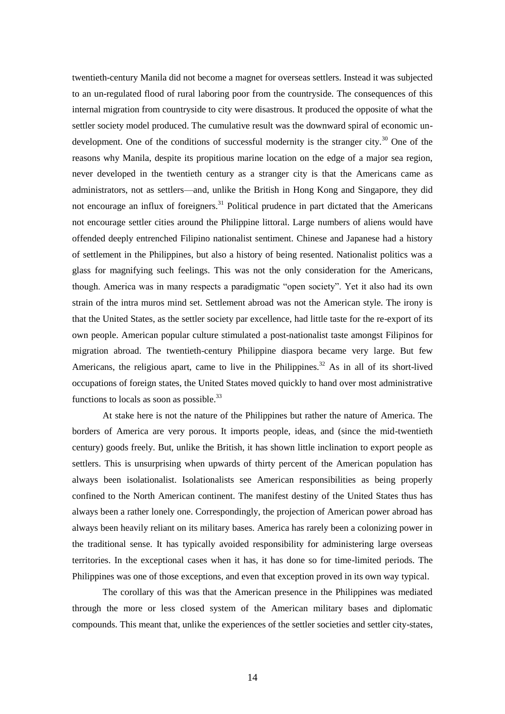twentieth-century Manila did not become a magnet for overseas settlers. Instead it was subjected to an un-regulated flood of rural laboring poor from the countryside. The consequences of this internal migration from countryside to city were disastrous. It produced the opposite of what the settler society model produced. The cumulative result was the downward spiral of economic undevelopment. One of the conditions of successful modernity is the stranger city.<sup>30</sup> One of the reasons why Manila, despite its propitious marine location on the edge of a major sea region, never developed in the twentieth century as a stranger city is that the Americans came as administrators, not as settlers—and, unlike the British in Hong Kong and Singapore, they did not encourage an influx of foreigners.<sup>31</sup> Political prudence in part dictated that the Americans not encourage settler cities around the Philippine littoral. Large numbers of aliens would have offended deeply entrenched Filipino nationalist sentiment. Chinese and Japanese had a history of settlement in the Philippines, but also a history of being resented. Nationalist politics was a glass for magnifying such feelings. This was not the only consideration for the Americans, though. America was in many respects a paradigmatic "open society". Yet it also had its own strain of the intra muros mind set. Settlement abroad was not the American style. The irony is that the United States, as the settler society par excellence, had little taste for the re-export of its own people. American popular culture stimulated a post-nationalist taste amongst Filipinos for migration abroad. The twentieth-century Philippine diaspora became very large. But few Americans, the religious apart, came to live in the Philippines.<sup>32</sup> As in all of its short-lived occupations of foreign states, the United States moved quickly to hand over most administrative functions to locals as soon as possible.<sup>33</sup>

At stake here is not the nature of the Philippines but rather the nature of America. The borders of America are very porous. It imports people, ideas, and (since the mid-twentieth century) goods freely. But, unlike the British, it has shown little inclination to export people as settlers. This is unsurprising when upwards of thirty percent of the American population has always been isolationalist. Isolationalists see American responsibilities as being properly confined to the North American continent. The manifest destiny of the United States thus has always been a rather lonely one. Correspondingly, the projection of American power abroad has always been heavily reliant on its military bases. America has rarely been a colonizing power in the traditional sense. It has typically avoided responsibility for administering large overseas territories. In the exceptional cases when it has, it has done so for time-limited periods. The Philippines was one of those exceptions, and even that exception proved in its own way typical.

The corollary of this was that the American presence in the Philippines was mediated through the more or less closed system of the American military bases and diplomatic compounds. This meant that, unlike the experiences of the settler societies and settler city-states,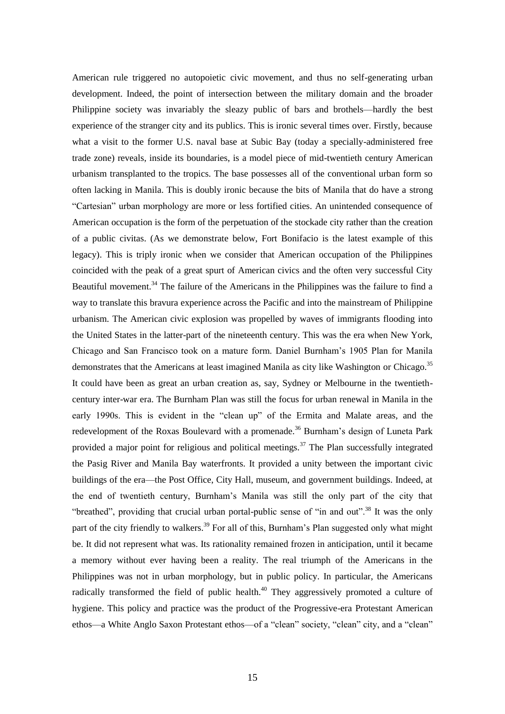American rule triggered no autopoietic civic movement, and thus no self-generating urban development. Indeed, the point of intersection between the military domain and the broader Philippine society was invariably the sleazy public of bars and brothels—hardly the best experience of the stranger city and its publics. This is ironic several times over. Firstly, because what a visit to the former U.S. naval base at Subic Bay (today a specially-administered free trade zone) reveals, inside its boundaries, is a model piece of mid-twentieth century American urbanism transplanted to the tropics. The base possesses all of the conventional urban form so often lacking in Manila. This is doubly ironic because the bits of Manila that do have a strong "Cartesian" urban morphology are more or less fortified cities. An unintended consequence of American occupation is the form of the perpetuation of the stockade city rather than the creation of a public civitas. (As we demonstrate below, Fort Bonifacio is the latest example of this legacy). This is triply ironic when we consider that American occupation of the Philippines coincided with the peak of a great spurt of American civics and the often very successful City Beautiful movement.<sup>34</sup> The failure of the Americans in the Philippines was the failure to find a way to translate this bravura experience across the Pacific and into the mainstream of Philippine urbanism. The American civic explosion was propelled by waves of immigrants flooding into the United States in the latter-part of the nineteenth century. This was the era when New York, Chicago and San Francisco took on a mature form. Daniel Burnham's 1905 Plan for Manila demonstrates that the Americans at least imagined Manila as city like Washington or Chicago.<sup>35</sup> It could have been as great an urban creation as, say, Sydney or Melbourne in the twentiethcentury inter-war era. The Burnham Plan was still the focus for urban renewal in Manila in the early 1990s. This is evident in the "clean up" of the Ermita and Malate areas, and the redevelopment of the Roxas Boulevard with a promenade.<sup>36</sup> Burnham's design of Luneta Park provided a major point for religious and political meetings.<sup>37</sup> The Plan successfully integrated the Pasig River and Manila Bay waterfronts. It provided a unity between the important civic buildings of the era—the Post Office, City Hall, museum, and government buildings. Indeed, at the end of twentieth century, Burnham's Manila was still the only part of the city that "breathed", providing that crucial urban portal-public sense of "in and out".<sup>38</sup> It was the only part of the city friendly to walkers.<sup>39</sup> For all of this, Burnham's Plan suggested only what might be. It did not represent what was. Its rationality remained frozen in anticipation, until it became a memory without ever having been a reality. The real triumph of the Americans in the Philippines was not in urban morphology, but in public policy. In particular, the Americans radically transformed the field of public health.<sup>40</sup> They aggressively promoted a culture of hygiene. This policy and practice was the product of the Progressive-era Protestant American ethos—a White Anglo Saxon Protestant ethos—of a "clean" society, "clean" city, and a "clean"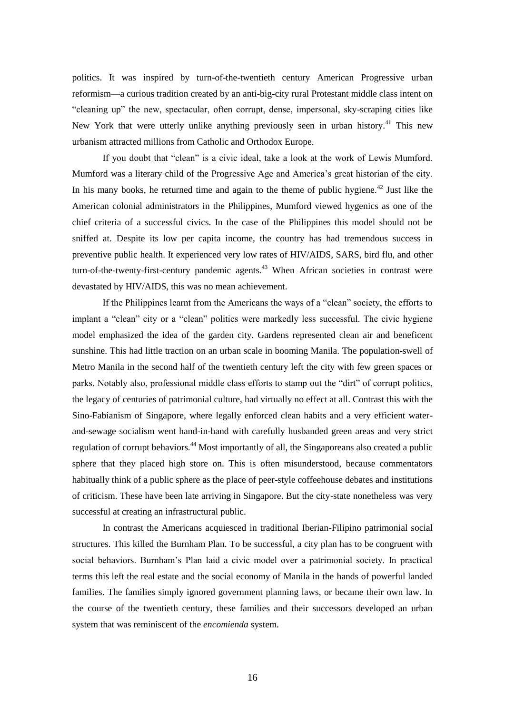politics. It was inspired by turn-of-the-twentieth century American Progressive urban reformism—a curious tradition created by an anti-big-city rural Protestant middle class intent on "cleaning up" the new, spectacular, often corrupt, dense, impersonal, sky-scraping cities like New York that were utterly unlike anything previously seen in urban history.<sup>41</sup> This new urbanism attracted millions from Catholic and Orthodox Europe.

If you doubt that "clean" is a civic ideal, take a look at the work of Lewis Mumford. Mumford was a literary child of the Progressive Age and America's great historian of the city. In his many books, he returned time and again to the theme of public hygiene. $42$  Just like the American colonial administrators in the Philippines, Mumford viewed hygenics as one of the chief criteria of a successful civics. In the case of the Philippines this model should not be sniffed at. Despite its low per capita income, the country has had tremendous success in preventive public health. It experienced very low rates of HIV/AIDS, SARS, bird flu, and other turn-of-the-twenty-first-century pandemic agents. $43$  When African societies in contrast were devastated by HIV/AIDS, this was no mean achievement.

If the Philippines learnt from the Americans the ways of a "clean" society, the efforts to implant a "clean" city or a "clean" politics were markedly less successful. The civic hygiene model emphasized the idea of the garden city. Gardens represented clean air and beneficent sunshine. This had little traction on an urban scale in booming Manila. The population-swell of Metro Manila in the second half of the twentieth century left the city with few green spaces or parks. Notably also, professional middle class efforts to stamp out the "dirt" of corrupt politics, the legacy of centuries of patrimonial culture, had virtually no effect at all. Contrast this with the Sino-Fabianism of Singapore, where legally enforced clean habits and a very efficient waterand-sewage socialism went hand-in-hand with carefully husbanded green areas and very strict regulation of corrupt behaviors.<sup>44</sup> Most importantly of all, the Singaporeans also created a public sphere that they placed high store on. This is often misunderstood, because commentators habitually think of a public sphere as the place of peer-style coffeehouse debates and institutions of criticism. These have been late arriving in Singapore. But the city-state nonetheless was very successful at creating an infrastructural public.

In contrast the Americans acquiesced in traditional Iberian-Filipino patrimonial social structures. This killed the Burnham Plan. To be successful, a city plan has to be congruent with social behaviors. Burnham's Plan laid a civic model over a patrimonial society. In practical terms this left the real estate and the social economy of Manila in the hands of powerful landed families. The families simply ignored government planning laws, or became their own law. In the course of the twentieth century, these families and their successors developed an urban system that was reminiscent of the *encomienda* system.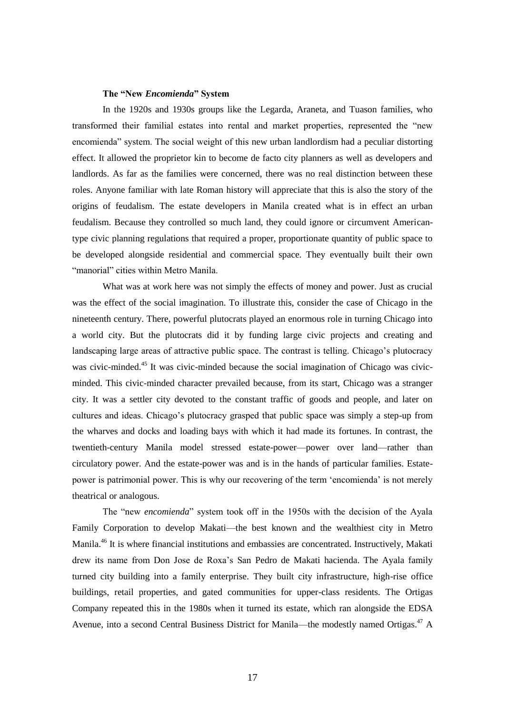#### **The "New** *Encomienda***" System**

In the 1920s and 1930s groups like the Legarda, Araneta, and Tuason families, who transformed their familial estates into rental and market properties, represented the "new encomienda" system. The social weight of this new urban landlordism had a peculiar distorting effect. It allowed the proprietor kin to become de facto city planners as well as developers and landlords. As far as the families were concerned, there was no real distinction between these roles. Anyone familiar with late Roman history will appreciate that this is also the story of the origins of feudalism. The estate developers in Manila created what is in effect an urban feudalism. Because they controlled so much land, they could ignore or circumvent Americantype civic planning regulations that required a proper, proportionate quantity of public space to be developed alongside residential and commercial space. They eventually built their own "manorial" cities within Metro Manila.

What was at work here was not simply the effects of money and power. Just as crucial was the effect of the social imagination. To illustrate this, consider the case of Chicago in the nineteenth century. There, powerful plutocrats played an enormous role in turning Chicago into a world city. But the plutocrats did it by funding large civic projects and creating and landscaping large areas of attractive public space. The contrast is telling. Chicago's plutocracy was civic-minded.<sup>45</sup> It was civic-minded because the social imagination of Chicago was civicminded. This civic-minded character prevailed because, from its start, Chicago was a stranger city. It was a settler city devoted to the constant traffic of goods and people, and later on cultures and ideas. Chicago's plutocracy grasped that public space was simply a step-up from the wharves and docks and loading bays with which it had made its fortunes. In contrast, the twentieth-century Manila model stressed estate-power—power over land—rather than circulatory power. And the estate-power was and is in the hands of particular families. Estatepower is patrimonial power. This is why our recovering of the term 'encomienda' is not merely theatrical or analogous.

The "new *encomienda*" system took off in the 1950s with the decision of the Ayala Family Corporation to develop Makati—the best known and the wealthiest city in Metro Manila.<sup>46</sup> It is where financial institutions and embassies are concentrated. Instructively, Makati drew its name from Don Jose de Roxa's San Pedro de Makati hacienda. The Ayala family turned city building into a family enterprise. They built city infrastructure, high-rise office buildings, retail properties, and gated communities for upper-class residents. The Ortigas Company repeated this in the 1980s when it turned its estate, which ran alongside the EDSA Avenue, into a second Central Business District for Manila—the modestly named Ortigas.<sup>47</sup> A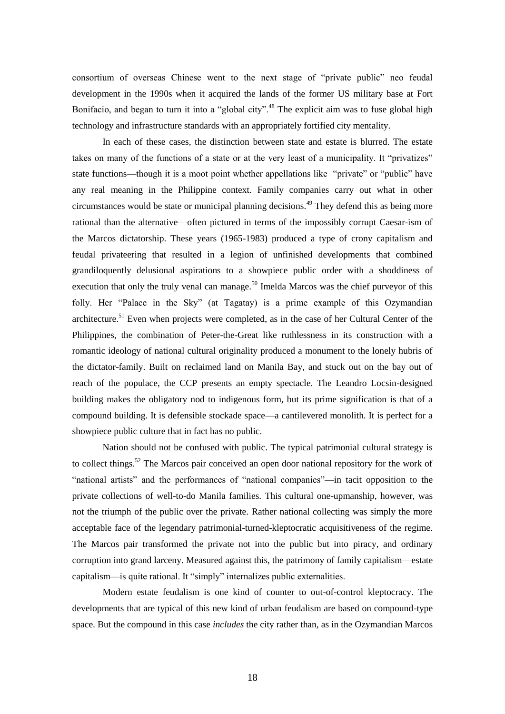consortium of overseas Chinese went to the next stage of "private public" neo feudal development in the 1990s when it acquired the lands of the former US military base at Fort Bonifacio, and began to turn it into a "global city".<sup>48</sup> The explicit aim was to fuse global high technology and infrastructure standards with an appropriately fortified city mentality.

In each of these cases, the distinction between state and estate is blurred. The estate takes on many of the functions of a state or at the very least of a municipality. It "privatizes" state functions—though it is a moot point whether appellations like "private" or "public" have any real meaning in the Philippine context. Family companies carry out what in other circumstances would be state or municipal planning decisions.<sup>49</sup> They defend this as being more rational than the alternative—often pictured in terms of the impossibly corrupt Caesar-ism of the Marcos dictatorship. These years (1965-1983) produced a type of crony capitalism and feudal privateering that resulted in a legion of unfinished developments that combined grandiloquently delusional aspirations to a showpiece public order with a shoddiness of execution that only the truly venal can manage.<sup>50</sup> Imelda Marcos was the chief purveyor of this folly. Her "Palace in the Sky" (at Tagatay) is a prime example of this Ozymandian architecture.<sup>51</sup> Even when projects were completed, as in the case of her Cultural Center of the Philippines, the combination of Peter-the-Great like ruthlessness in its construction with a romantic ideology of national cultural originality produced a monument to the lonely hubris of the dictator-family. Built on reclaimed land on Manila Bay, and stuck out on the bay out of reach of the populace, the CCP presents an empty spectacle. The Leandro Locsin-designed building makes the obligatory nod to indigenous form, but its prime signification is that of a compound building. It is defensible stockade space—a cantilevered monolith. It is perfect for a showpiece public culture that in fact has no public.

Nation should not be confused with public. The typical patrimonial cultural strategy is to collect things.<sup>52</sup> The Marcos pair conceived an open door national repository for the work of "national artists" and the performances of "national companies"—in tacit opposition to the private collections of well-to-do Manila families. This cultural one-upmanship, however, was not the triumph of the public over the private. Rather national collecting was simply the more acceptable face of the legendary patrimonial-turned-kleptocratic acquisitiveness of the regime. The Marcos pair transformed the private not into the public but into piracy, and ordinary corruption into grand larceny. Measured against this, the patrimony of family capitalism—estate capitalism—is quite rational. It "simply" internalizes public externalities.

Modern estate feudalism is one kind of counter to out-of-control kleptocracy. The developments that are typical of this new kind of urban feudalism are based on compound-type space. But the compound in this case *includes* the city rather than, as in the Ozymandian Marcos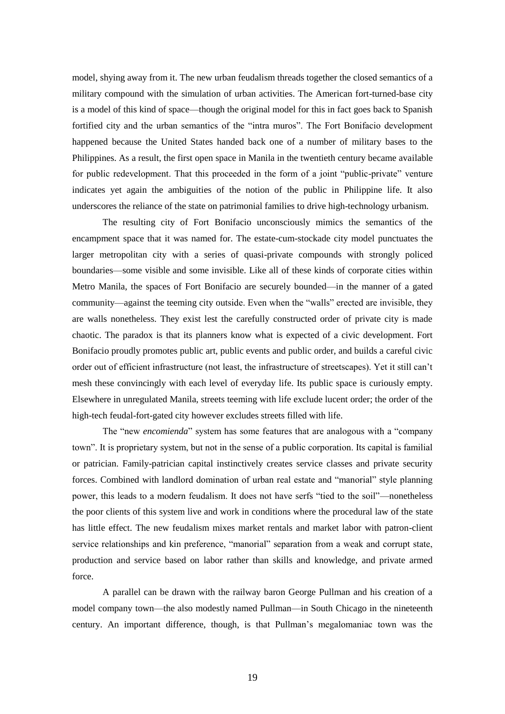model, shying away from it. The new urban feudalism threads together the closed semantics of a military compound with the simulation of urban activities. The American fort-turned-base city is a model of this kind of space—though the original model for this in fact goes back to Spanish fortified city and the urban semantics of the "intra muros". The Fort Bonifacio development happened because the United States handed back one of a number of military bases to the Philippines. As a result, the first open space in Manila in the twentieth century became available for public redevelopment. That this proceeded in the form of a joint "public-private" venture indicates yet again the ambiguities of the notion of the public in Philippine life. It also underscores the reliance of the state on patrimonial families to drive high-technology urbanism.

The resulting city of Fort Bonifacio unconsciously mimics the semantics of the encampment space that it was named for. The estate-cum-stockade city model punctuates the larger metropolitan city with a series of quasi-private compounds with strongly policed boundaries—some visible and some invisible. Like all of these kinds of corporate cities within Metro Manila, the spaces of Fort Bonifacio are securely bounded—in the manner of a gated community—against the teeming city outside. Even when the "walls" erected are invisible, they are walls nonetheless. They exist lest the carefully constructed order of private city is made chaotic. The paradox is that its planners know what is expected of a civic development. Fort Bonifacio proudly promotes public art, public events and public order, and builds a careful civic order out of efficient infrastructure (not least, the infrastructure of streetscapes). Yet it still can't mesh these convincingly with each level of everyday life. Its public space is curiously empty. Elsewhere in unregulated Manila, streets teeming with life exclude lucent order; the order of the high-tech feudal-fort-gated city however excludes streets filled with life.

The "new *encomienda*" system has some features that are analogous with a "company town". It is proprietary system, but not in the sense of a public corporation. Its capital is familial or patrician. Family-patrician capital instinctively creates service classes and private security forces. Combined with landlord domination of urban real estate and "manorial" style planning power, this leads to a modern feudalism. It does not have serfs "tied to the soil"—nonetheless the poor clients of this system live and work in conditions where the procedural law of the state has little effect. The new feudalism mixes market rentals and market labor with patron-client service relationships and kin preference, "manorial" separation from a weak and corrupt state, production and service based on labor rather than skills and knowledge, and private armed force.

A parallel can be drawn with the railway baron George Pullman and his creation of a model company town—the also modestly named Pullman—in South Chicago in the nineteenth century. An important difference, though, is that Pullman's megalomaniac town was the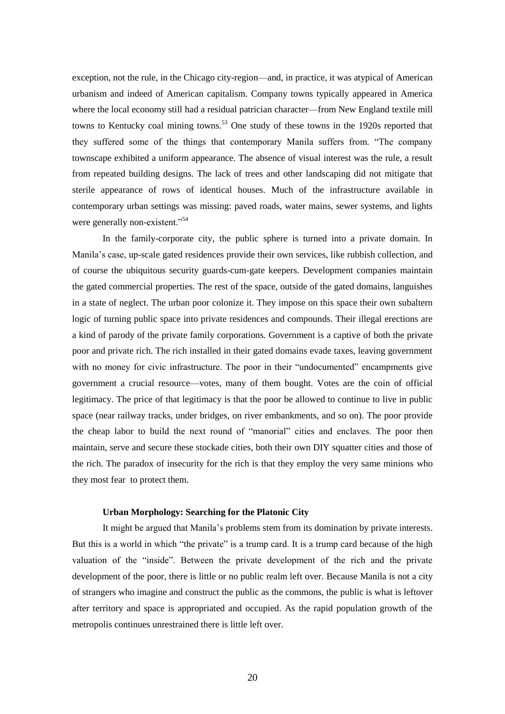exception, not the rule, in the Chicago city-region—and, in practice, it was atypical of American urbanism and indeed of American capitalism. Company towns typically appeared in America where the local economy still had a residual patrician character—from New England textile mill towns to Kentucky coal mining towns.<sup>53</sup> One study of these towns in the 1920s reported that they suffered some of the things that contemporary Manila suffers from. "The company townscape exhibited a uniform appearance. The absence of visual interest was the rule, a result from repeated building designs. The lack of trees and other landscaping did not mitigate that sterile appearance of rows of identical houses. Much of the infrastructure available in contemporary urban settings was missing: paved roads, water mains, sewer systems, and lights were generally non-existent."<sup>54</sup>

In the family-corporate city, the public sphere is turned into a private domain. In Manila's case, up-scale gated residences provide their own services, like rubbish collection, and of course the ubiquitous security guards-cum-gate keepers. Development companies maintain the gated commercial properties. The rest of the space, outside of the gated domains, languishes in a state of neglect. The urban poor colonize it. They impose on this space their own subaltern logic of turning public space into private residences and compounds. Their illegal erections are a kind of parody of the private family corporations. Government is a captive of both the private poor and private rich. The rich installed in their gated domains evade taxes, leaving government with no money for civic infrastructure. The poor in their "undocumented" encampments give government a crucial resource—votes, many of them bought. Votes are the coin of official legitimacy. The price of that legitimacy is that the poor be allowed to continue to live in public space (near railway tracks, under bridges, on river embankments, and so on). The poor provide the cheap labor to build the next round of "manorial" cities and enclaves. The poor then maintain, serve and secure these stockade cities, both their own DIY squatter cities and those of the rich. The paradox of insecurity for the rich is that they employ the very same minions who they most fear to protect them.

## **Urban Morphology: Searching for the Platonic City**

It might be argued that Manila's problems stem from its domination by private interests. But this is a world in which "the private" is a trump card. It is a trump card because of the high valuation of the "inside". Between the private development of the rich and the private development of the poor, there is little or no public realm left over. Because Manila is not a city of strangers who imagine and construct the public as the commons, the public is what is leftover after territory and space is appropriated and occupied. As the rapid population growth of the metropolis continues unrestrained there is little left over.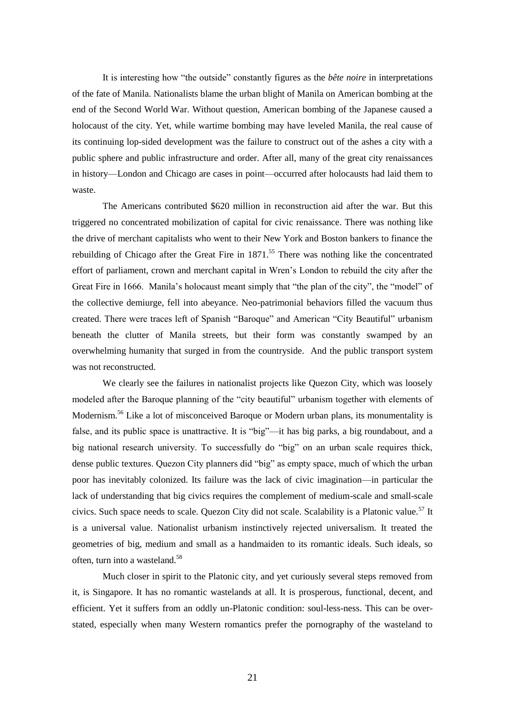It is interesting how "the outside" constantly figures as the *bête noire* in interpretations of the fate of Manila. Nationalists blame the urban blight of Manila on American bombing at the end of the Second World War. Without question, American bombing of the Japanese caused a holocaust of the city. Yet, while wartime bombing may have leveled Manila, the real cause of its continuing lop-sided development was the failure to construct out of the ashes a city with a public sphere and public infrastructure and order. After all, many of the great city renaissances in history—London and Chicago are cases in point—occurred after holocausts had laid them to waste.

The Americans contributed \$620 million in reconstruction aid after the war. But this triggered no concentrated mobilization of capital for civic renaissance. There was nothing like the drive of merchant capitalists who went to their New York and Boston bankers to finance the rebuilding of Chicago after the Great Fire in  $1871$ <sup>55</sup>. There was nothing like the concentrated effort of parliament, crown and merchant capital in Wren's London to rebuild the city after the Great Fire in 1666. Manila's holocaust meant simply that "the plan of the city", the "model" of the collective demiurge, fell into abeyance. Neo-patrimonial behaviors filled the vacuum thus created. There were traces left of Spanish "Baroque" and American "City Beautiful" urbanism beneath the clutter of Manila streets, but their form was constantly swamped by an overwhelming humanity that surged in from the countryside. And the public transport system was not reconstructed.

We clearly see the failures in nationalist projects like Quezon City, which was loosely modeled after the Baroque planning of the "city beautiful" urbanism together with elements of Modernism.<sup>56</sup> Like a lot of misconceived Baroque or Modern urban plans, its monumentality is false, and its public space is unattractive. It is "big"—it has big parks, a big roundabout, and a big national research university. To successfully do "big" on an urban scale requires thick, dense public textures. Quezon City planners did "big" as empty space, much of which the urban poor has inevitably colonized. Its failure was the lack of civic imagination—in particular the lack of understanding that big civics requires the complement of medium-scale and small-scale civics. Such space needs to scale. Quezon City did not scale. Scalability is a Platonic value.<sup>57</sup> It is a universal value. Nationalist urbanism instinctively rejected universalism. It treated the geometries of big, medium and small as a handmaiden to its romantic ideals. Such ideals, so often, turn into a wasteland.<sup>58</sup>

Much closer in spirit to the Platonic city, and yet curiously several steps removed from it, is Singapore. It has no romantic wastelands at all. It is prosperous, functional, decent, and efficient. Yet it suffers from an oddly un-Platonic condition: soul-less-ness. This can be overstated, especially when many Western romantics prefer the pornography of the wasteland to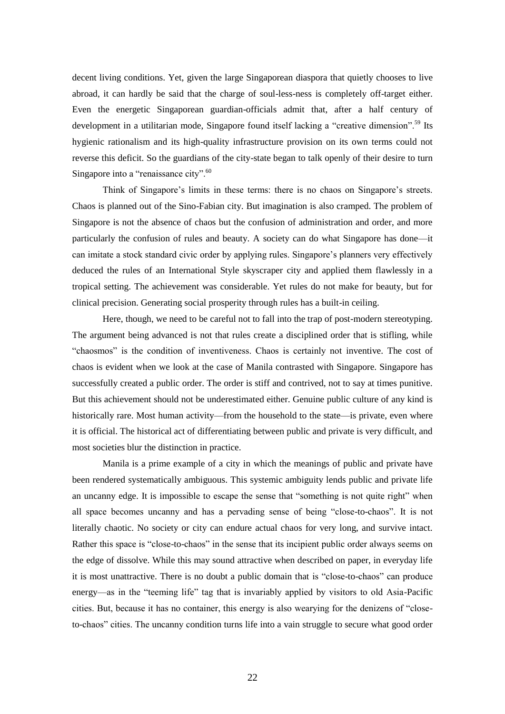decent living conditions. Yet, given the large Singaporean diaspora that quietly chooses to live abroad, it can hardly be said that the charge of soul-less-ness is completely off-target either. Even the energetic Singaporean guardian-officials admit that, after a half century of development in a utilitarian mode, Singapore found itself lacking a "creative dimension".<sup>59</sup> Its hygienic rationalism and its high-quality infrastructure provision on its own terms could not reverse this deficit. So the guardians of the city-state began to talk openly of their desire to turn Singapore into a "renaissance city".<sup>60</sup>

Think of Singapore's limits in these terms: there is no chaos on Singapore's streets. Chaos is planned out of the Sino-Fabian city. But imagination is also cramped. The problem of Singapore is not the absence of chaos but the confusion of administration and order, and more particularly the confusion of rules and beauty. A society can do what Singapore has done—it can imitate a stock standard civic order by applying rules. Singapore's planners very effectively deduced the rules of an International Style skyscraper city and applied them flawlessly in a tropical setting. The achievement was considerable. Yet rules do not make for beauty, but for clinical precision. Generating social prosperity through rules has a built-in ceiling.

Here, though, we need to be careful not to fall into the trap of post-modern stereotyping. The argument being advanced is not that rules create a disciplined order that is stifling, while "chaosmos" is the condition of inventiveness. Chaos is certainly not inventive. The cost of chaos is evident when we look at the case of Manila contrasted with Singapore. Singapore has successfully created a public order. The order is stiff and contrived, not to say at times punitive. But this achievement should not be underestimated either. Genuine public culture of any kind is historically rare. Most human activity—from the household to the state—is private, even where it is official. The historical act of differentiating between public and private is very difficult, and most societies blur the distinction in practice.

Manila is a prime example of a city in which the meanings of public and private have been rendered systematically ambiguous. This systemic ambiguity lends public and private life an uncanny edge. It is impossible to escape the sense that "something is not quite right" when all space becomes uncanny and has a pervading sense of being "close-to-chaos". It is not literally chaotic. No society or city can endure actual chaos for very long, and survive intact. Rather this space is "close-to-chaos" in the sense that its incipient public order always seems on the edge of dissolve. While this may sound attractive when described on paper, in everyday life it is most unattractive. There is no doubt a public domain that is "close-to-chaos" can produce energy—as in the "teeming life" tag that is invariably applied by visitors to old Asia-Pacific cities. But, because it has no container, this energy is also wearying for the denizens of "closeto-chaos" cities. The uncanny condition turns life into a vain struggle to secure what good order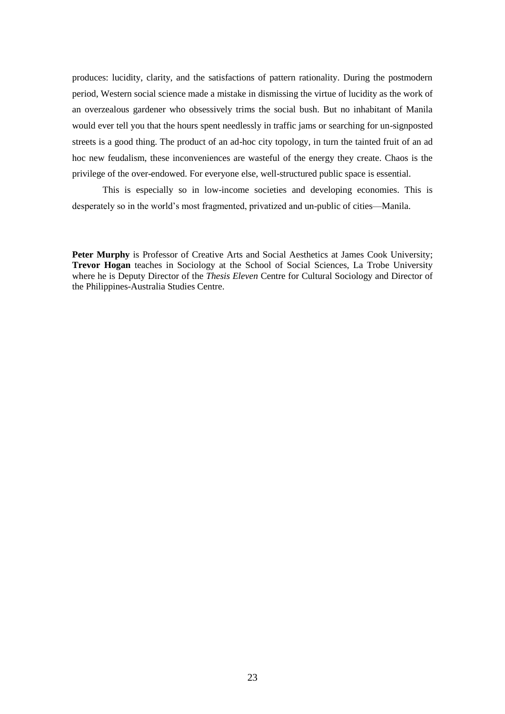produces: lucidity, clarity, and the satisfactions of pattern rationality. During the postmodern period, Western social science made a mistake in dismissing the virtue of lucidity as the work of an overzealous gardener who obsessively trims the social bush. But no inhabitant of Manila would ever tell you that the hours spent needlessly in traffic jams or searching for un-signposted streets is a good thing. The product of an ad-hoc city topology, in turn the tainted fruit of an ad hoc new feudalism, these inconveniences are wasteful of the energy they create. Chaos is the privilege of the over-endowed. For everyone else, well-structured public space is essential.

This is especially so in low-income societies and developing economies. This is desperately so in the world's most fragmented, privatized and un-public of cities—Manila.

Peter Murphy is Professor of Creative Arts and Social Aesthetics at James Cook University; **Trevor Hogan** teaches in Sociology at the School of Social Sciences, La Trobe University where he is Deputy Director of the *Thesis Eleven* Centre for Cultural Sociology and Director of the Philippines-Australia Studies Centre.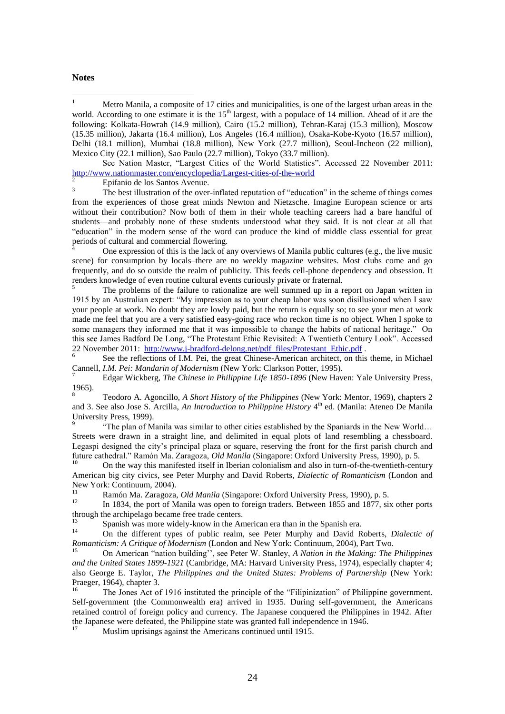#### **Notes**

 $\mathbf{1}$ <sup>1</sup> Metro Manila, a composite of 17 cities and municipalities, is one of the largest urban areas in the world. According to one estimate it is the 15<sup>th</sup> largest, with a populace of 14 million. Ahead of it are the following: Kolkata-Howrah (14.9 million), Cairo (15.2 million), Tehran-Karaj (15.3 million), Moscow (15.35 million), Jakarta (16.4 million), Los Angeles (16.4 million), Osaka-Kobe-Kyoto (16.57 million), Delhi (18.1 million), Mumbai (18.8 million), New York (27.7 million), Seoul-Incheon (22 million), Mexico City (22.1 million), Sao Paulo (22.7 million), Tokyo (33.7 million).

See Nation Master, "Largest Cities of the World Statistics". Accessed 22 November 2011: <http://www.nationmaster.com/encyclopedia/Largest-cities-of-the-world>

 $\frac{2}{3}$  Epifanio de los Santos Avenue.

<sup>3</sup> The best illustration of the over-inflated reputation of "education" in the scheme of things comes from the experiences of those great minds Newton and Nietzsche. Imagine European science or arts without their contribution? Now both of them in their whole teaching careers had a bare handful of students—and probably none of these students understood what they said. It is not clear at all that "education" in the modern sense of the word can produce the kind of middle class essential for great periods of cultural and commercial flowering.

One expression of this is the lack of any overviews of Manila public cultures (e.g., the live music scene) for consumption by locals–there are no weekly magazine websites. Most clubs come and go frequently, and do so outside the realm of publicity. This feeds cell-phone dependency and obsession. It renders knowledge of even routine cultural events curiously private or fraternal.

<sup>5</sup> The problems of the failure to rationalize are well summed up in a report on Japan written in 1915 by an Australian expert: "My impression as to your cheap labor was soon disillusioned when I saw your people at work. No doubt they are lowly paid, but the return is equally so; to see your men at work made me feel that you are a very satisfied easy-going race who reckon time is no object. When I spoke to some managers they informed me that it was impossible to change the habits of national heritage." On this see James Badford De Long, "The Protestant Ethic Revisited: A Twentieth Century Look". Accessed 22 November 2011: [http://www.j-bradford-delong.net/pdf\\_files/Protestant\\_Ethic.pdf](http://www.j-bradford-delong.net/pdf_files/Protestant_Ethic.pdf).

6 See the reflections of I.M. Pei, the great Chinese-American architect, on this theme, in Michael Cannell, *I.M. Pei: Mandarin of Modernism* (New York: Clarkson Potter, 1995).

7 Edgar Wickberg, *The Chinese in Philippine Life 1850-1896* (New Haven: Yale University Press, 1965).

<sup>8</sup> Teodoro A. Agoncillo, *A Short History of the Philippines* (New York: Mentor, 1969), chapters 2 and 3. See also Jose S. Arcilla, *An Introduction to Philippine History* 4<sup>th</sup> ed. (Manila: Ateneo De Manila University Press, 1999).

9 "The plan of Manila was similar to other cities established by the Spaniards in the New World… Streets were drawn in a straight line, and delimited in equal plots of land resembling a chessboard. Legaspi designed the city's principal plaza or square, reserving the front for the first parish church and future cathedral." Ramón Ma. Zaragoza, *Old Manila* (Singapore: Oxford University Press, 1990), p. 5.

<sup>10</sup> On the way this manifested itself in Iberian colonialism and also in turn-of-the-twentieth-century American big city civics, see Peter Murphy and David Roberts, *Dialectic of Romanticism* (London and New York: Continuum, 2004).

<sup>11</sup> Ramón Ma. Zaragoza, *Old Manila* (Singapore: Oxford University Press, 1990), p. 5.

<sup>12</sup> In 1834, the port of Manila was open to foreign traders. Between 1855 and 1877, six other ports through the archipelago became free trade centers.

<sup>13</sup> Spanish was more widely-know in the American era than in the Spanish era.

<sup>14</sup> On the different types of public realm, see Peter Murphy and David Roberts, *Dialectic of Romanticism: A Critique of Modernism* (London and New York: Continuum, 2004), Part Two.

<sup>15</sup> On American "nation building'', see Peter W. Stanley, *A Nation in the Making: The Philippines and the United States 1899-1921* (Cambridge, MA: Harvard University Press, 1974), especially chapter 4; also George E. Taylor, *The Philippines and the United States: Problems of Partnership* (New York: Praeger, 1964), chapter 3.<br><sup>16</sup>

<sup>16</sup> The Jones Act of 1916 instituted the principle of the "Filipinization" of Philippine government. Self-government (the Commonwealth era) arrived in 1935. During self-government, the Americans retained control of foreign policy and currency. The Japanese conquered the Philippines in 1942. After the Japanese were defeated, the Philippine state was granted full independence in 1946.

<sup>17</sup> Muslim uprisings against the Americans continued until 1915.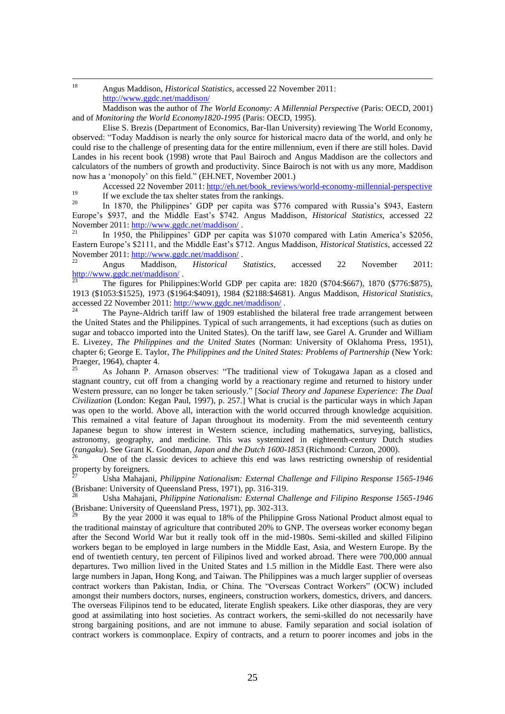18 <sup>18</sup> Angus Maddison, *Historical Statistics*, accessed 22 November 2011: <http://www.ggdc.net/maddison/>

Maddison was the author of *The World Economy: A Millennial Perspective* (Paris: OECD, 2001) and of *Monitoring the World Economy1820-1995* (Paris: OECD, 1995).

Elise S. Brezis (Department of Economics, Bar-Ilan University) reviewing The World Economy, observed: "Today Maddison is nearly the only source for historical macro data of the world, and only he could rise to the challenge of presenting data for the entire millennium, even if there are still holes. David Landes in his recent book (1998) wrote that Paul Bairoch and Angus Maddison are the collectors and calculators of the numbers of growth and productivity. Since Bairoch is not with us any more, Maddison now has a 'monopoly' on this field." (EH.NET, November 2001.)

Accessed 22 November 2011: [http://eh.net/book\\_reviews/world-economy-millennial-perspective](http://eh.net/book_reviews/world-economy-millennial-perspective) <sup>19</sup> If we exclude the tax shelter states from the rankings.<br><sup>20</sup> In 1870, the Philippines' CDP per conite was \$77

In 1870, the Philippines' GDP per capita was \$776 compared with Russia's \$943, Eastern Europe's \$937, and the Middle East's \$742. Angus Maddison, *Historical Statistics*, accessed 22 November 2011:<http://www.ggdc.net/maddison/>

In 1950, the Philippines' GDP per capita was \$1070 compared with Latin America's \$2056, Eastern Europe's \$2111, and the Middle East's \$712. Angus Maddison, *Historical Statistics*, accessed 22 November 2011:<http://www.ggdc.net/maddison/>.

<sup>22</sup> Angus Maddison, *Historical Statistics*, accessed 22 November 2011:  $\frac{\text{http://www.galo.net/maddison/}}{23}$ .

<sup>23</sup> The figures for Philippines:World GDP per capita are: 1820 (\$704:\$667), 1870 (\$776:\$875), 1913 (\$1053:\$1525), 1973 (\$1964:\$4091), 1984 (\$2188:\$4681). Angus Maddison, *Historical Statistics*, accessed 22 November 2011:<http://www.ggdc.net/maddison/><br><sup>24</sup> The Dayse Aldrich tagiff law of 1000 setablished the

<sup>24</sup> The Payne-Aldrich tariff law of 1909 established the bilateral free trade arrangement between the United States and the Philippines. Typical of such arrangements, it had exceptions (such as duties on sugar and tobacco imported into the United States). On the tariff law, see Garel A. Grunder and William E. Livezey, *The Philippines and the United States* (Norman: University of Oklahoma Press, 1951), chapter 6; George E. Taylor, *The Philippines and the United States: Problems of Partnership* (New York: Praeger, 1964), chapter 4.

<sup>25</sup> As Johann P. Arnason observes: "The traditional view of Tokugawa Japan as a closed and stagnant country, cut off from a changing world by a reactionary regime and returned to history under Western pressure, can no longer be taken seriously." [*Social Theory and Japanese Experience: The Dual Civilization* (London: Kegan Paul, 1997), p. 257.] What is crucial is the particular ways in which Japan was open to the world. Above all, interaction with the world occurred through knowledge acquisition. This remained a vital feature of Japan throughout its modernity. From the mid seventeenth century Japanese begun to show interest in Western science, including mathematics, surveying, ballistics, astronomy, geography, and medicine. This was systemized in eighteenth-century Dutch studies (*rangaku*). See Grant K. Goodman, *Japan and the Dutch 1600-1853* (Richmond: Curzon, 2000).

<sup>26</sup> One of the classic devices to achieve this end was laws restricting ownership of residential property by foreigners.

<sup>27</sup> Usha Mahajani, *Philippine Nationalism: External Challenge and Filipino Response 1565-1946* (Brisbane: University of Queensland Press, 1971), pp. 316-319.

<sup>28</sup> Usha Mahajani, *Philippine Nationalism: External Challenge and Filipino Response 1565-1946* (Brisbane: University of Queensland Press, 1971), pp. 302-313.

<sup>29</sup> By the year 2000 it was equal to 18% of the Philippine Gross National Product almost equal to the traditional mainstay of agriculture that contributed 20% to GNP. The overseas worker economy began after the Second World War but it really took off in the mid-1980s. Semi-skilled and skilled Filipino workers began to be employed in large numbers in the Middle East, Asia, and Western Europe. By the end of twentieth century, ten percent of Filipinos lived and worked abroad. There were 700,000 annual departures. Two million lived in the United States and 1.5 million in the Middle East. There were also large numbers in Japan, Hong Kong, and Taiwan. The Philippines was a much larger supplier of overseas contract workers than Pakistan, India, or China. The "Overseas Contract Workers" (OCW) included amongst their numbers doctors, nurses, engineers, construction workers, domestics, drivers, and dancers. The overseas Filipinos tend to be educated, literate English speakers. Like other diasporas, they are very good at assimilating into host societies. As contract workers, the semi-skilled do not necessarily have strong bargaining positions, and are not immune to abuse. Family separation and social isolation of contract workers is commonplace. Expiry of contracts, and a return to poorer incomes and jobs in the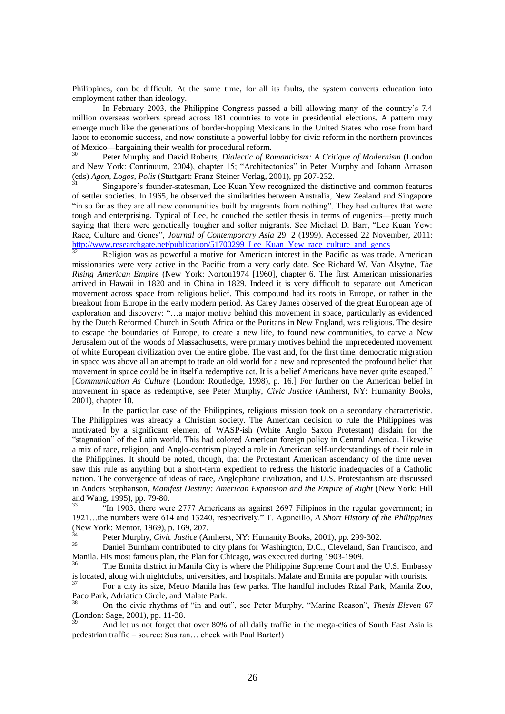Philippines, can be difficult. At the same time, for all its faults, the system converts education into employment rather than ideology.

-

In February 2003, the Philippine Congress passed a bill allowing many of the country's 7.4 million overseas workers spread across 181 countries to vote in presidential elections. A pattern may emerge much like the generations of border-hopping Mexicans in the United States who rose from hard labor to economic success, and now constitute a powerful lobby for civic reform in the northern provinces of Mexico—bargaining their wealth for procedural reform.

<sup>30</sup> Peter Murphy and David Roberts, *Dialectic of Romanticism: A Critique of Modernism* (London and New York: Continuum, 2004), chapter 15; "Architectonics" in Peter Murphy and Johann Arnason (eds) *Agon, Logos, Polis* (Stuttgart: Franz Steiner Verlag, 2001), pp 207-232.

<sup>31</sup> Singapore's founder-statesman, Lee Kuan Yew recognized the distinctive and common features of settler societies. In 1965, he observed the similarities between Australia, New Zealand and Singapore "in so far as they are all new communities built by migrants from nothing". They had cultures that were tough and enterprising. Typical of Lee, he couched the settler thesis in terms of eugenics—pretty much saying that there were genetically tougher and softer migrants. See Michael D. Barr, "Lee Kuan Yew: Race, Culture and Genes", *Journal of Contemporary Asia* 29: 2 (1999). Accessed 22 November, 2011: [http://www.researchgate.net/publication/51700299\\_Lee\\_Kuan\\_Yew\\_race\\_culture\\_and\\_genes](http://www.researchgate.net/publication/51700299_Lee_Kuan_Yew_race_culture_and_genes)

<sup>32</sup> Religion was as powerful a motive for American interest in the Pacific as was trade. American missionaries were very active in the Pacific from a very early date. See Richard W. Van Alsytne, *The Rising American Empire* (New York: Norton1974 [1960], chapter 6. The first American missionaries arrived in Hawaii in 1820 and in China in 1829. Indeed it is very difficult to separate out American movement across space from religious belief. This compound had its roots in Europe, or rather in the breakout from Europe in the early modern period. As Carey James observed of the great European age of exploration and discovery: "…a major motive behind this movement in space, particularly as evidenced by the Dutch Reformed Church in South Africa or the Puritans in New England, was religious. The desire to escape the boundaries of Europe, to create a new life, to found new communities, to carve a New Jerusalem out of the woods of Massachusetts, were primary motives behind the unprecedented movement of white European civilization over the entire globe. The vast and, for the first time, democratic migration in space was above all an attempt to trade an old world for a new and represented the profound belief that movement in space could be in itself a redemptive act. It is a belief Americans have never quite escaped." [*Communication As Culture* (London: Routledge, 1998), p. 16.] For further on the American belief in movement in space as redemptive, see Peter Murphy, *Civic Justice* (Amherst, NY: Humanity Books, 2001), chapter 10.

In the particular case of the Philippines, religious mission took on a secondary characteristic. The Philippines was already a Christian society. The American decision to rule the Philippines was motivated by a significant element of WASP-ish (White Anglo Saxon Protestant) disdain for the "stagnation" of the Latin world. This had colored American foreign policy in Central America. Likewise a mix of race, religion, and Anglo-centrism played a role in American self-understandings of their rule in the Philippines. It should be noted, though, that the Protestant American ascendancy of the time never saw this rule as anything but a short-term expedient to redress the historic inadequacies of a Catholic nation. The convergence of ideas of race, Anglophone civilization, and U.S. Protestantism are discussed in Anders Stephanson, *Manifest Destiny: American Expansion and the Empire of Right* (New York: Hill and Wang, 1995), pp. 79-80.

"In 1903, there were 2777 Americans as against 2697 Filipinos in the regular government; in 1921…the numbers were 614 and 13240, respectively." T. Agoncillo, *A Short History of the Philippines* (New York: Mentor, 1969), p. 169, 207.

<sup>34</sup> Peter Murphy, *Civic Justice* (Amherst, NY: Humanity Books, 2001), pp. 299-302.

<sup>35</sup> Daniel Burnham contributed to city plans for Washington, D.C., Cleveland, San Francisco, and Manila. His most famous plan, the Plan for Chicago, was executed during 1903-1909.

<sup>36</sup> The Ermita district in Manila City is where the Philippine Supreme Court and the U.S. Embassy is located, along with nightclubs, universities, and hospitals. Malate and Ermita are popular with tourists.

<sup>37</sup> For a city its size, Metro Manila has few parks. The handful includes Rizal Park, Manila Zoo, Paco Park, Adriatico Circle, and Malate Park.

<sup>38</sup> On the civic rhythms of "in and out", see Peter Murphy, "Marine Reason", *Thesis Eleven* 67 (London: Sage, 2001), pp. 11-38.

<sup>39</sup> And let us not forget that over 80% of all daily traffic in the mega-cities of South East Asia is pedestrian traffic – source: Sustran… check with Paul Barter!)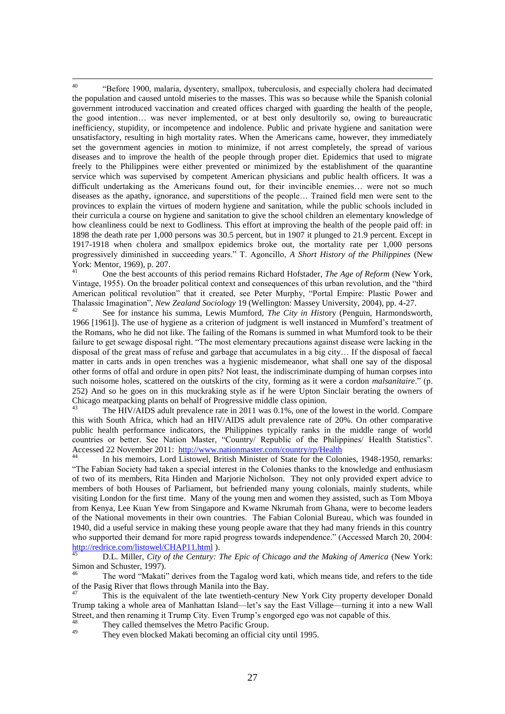40 <sup>40</sup> "Before 1900, malaria, dysentery, smallpox, tuberculosis, and especially cholera had decimated the population and caused untold miseries to the masses. This was so because while the Spanish colonial government introduced vaccination and created offices charged with guarding the health of the people, the good intention… was never implemented, or at best only desultorily so, owing to bureaucratic inefficiency, stupidity, or incompetence and indolence. Public and private hygiene and sanitation were unsatisfactory, resulting in high mortality rates. When the Americans came, however, they immediately set the government agencies in motion to minimize, if not arrest completely, the spread of various diseases and to improve the health of the people through proper diet. Epidemics that used to migrate freely to the Philippines were either prevented or minimized by the establishment of the quarantine service which was supervised by competent American physicians and public health officers. It was a difficult undertaking as the Americans found out, for their invincible enemies… were not so much diseases as the apathy, ignorance, and superstitions of the people… Trained field men were sent to the provinces to explain the virtues of modern hygiene and sanitation, while the public schools included in their curricula a course on hygiene and sanitation to give the school children an elementary knowledge of how cleanliness could be next to Godliness. This effort at improving the health of the people paid off: in 1898 the death rate per 1,000 persons was 30.5 percent, but in 1907 it plunged to 21.9 percent. Except in 1917-1918 when cholera and smallpox epidemics broke out, the mortality rate per 1,000 persons progressively diminished in succeeding years." T. Agoncillo, *A Short History of the Philippines* (New York: Mentor, 1969), p. 207.

<sup>41</sup> One the best accounts of this period remains Richard Hofstader, *The Age of Reform* (New York, Vintage, 1955). On the broader political context and consequences of this urban revolution, and the "third American political revolution" that it created, see Peter Murphy, "Portal Empire: Plastic Power and Thalassic Imagination", *New Zealand Sociology* 19 (Wellington: Massey University, 2004), pp. 4-27.

<sup>42</sup> See for instance his summa, Lewis Mumford, *The City in Hist*ory (Penguin, Harmondsworth, 1966 [1961]). The use of hygiene as a criterion of judgment is well instanced in Mumford's treatment of the Romans, who he did not like. The failing of the Romans is summed in what Mumford took to be their failure to get sewage disposal right. "The most elementary precautions against disease were lacking in the disposal of the great mass of refuse and garbage that accumulates in a big city… If the disposal of faecal matter in carts ands in open trenches was a hygienic misdemeanor, what shall one say of the disposal other forms of offal and ordure in open pits? Not least, the indiscriminate dumping of human corpses into such noisome holes, scattered on the outskirts of the city, forming as it were a cordon *malsanitaire*." (p. 252) And so he goes on in this muckraking style as if he were Upton Sinclair berating the owners of Chicago meatpacking plants on behalf of Progressive middle class opinion.

<sup>43</sup> The HIV/AIDS adult prevalence rate in 2011 was 0.1%, one of the lowest in the world. Compare this with South Africa, which had an HIV/AIDS adult prevalence rate of 20%. On other comparative public health performance indicators, the Philippines typically ranks in the middle range of world countries or better. See Nation Master, "Country/ Republic of the Philippines/ Health Statistics". Accessed 22 November 2011: <http://www.nationmaster.com/country/rp/Health>

<sup>44</sup> In his memoirs, Lord Listowel, British Minister of State for the Colonies, 1948-1950, remarks: "The Fabian Society had taken a special interest in the Colonies thanks to the knowledge and enthusiasm of two of its members, Rita Hinden and Marjorie Nicholson. They not only provided expert advice to members of both Houses of Parliament, but befriended many young colonials, mainly students, while visiting London for the first time. Many of the young men and women they assisted, such as Tom Mboya from Kenya, Lee Kuan Yew from Singapore and Kwame Nkrumah from Ghana, were to become leaders of the National movements in their own countries. The Fabian Colonial Bureau, which was founded in 1940, did a useful service in making these young people aware that they had many friends in this country who supported their demand for more rapid progress towards independence." (Accessed March 20, 2004: <http://redrice.com/listowel/CHAP11.html> ).

<sup>45</sup> D.L. Miller, *City of the Century: The Epic of Chicago and the Making of America* (New York: Simon and Schuster, 1997).

<sup>46</sup> The word "Makati" derives from the Tagalog word kati, which means tide, and refers to the tide of the Pasig River that flows through Manila into the Bay.

<sup>47</sup> This is the equivalent of the late twentieth-century New York City property developer Donald Trump taking a whole area of Manhattan Island—let's say the East Village—turning it into a new Wall Street, and then renaming it Trump City. Even Trump's engorged ego was not capable of this.

 $^{48}$  They called themselves the Metro Pacific Group.

They even blocked Makati becoming an official city until 1995.